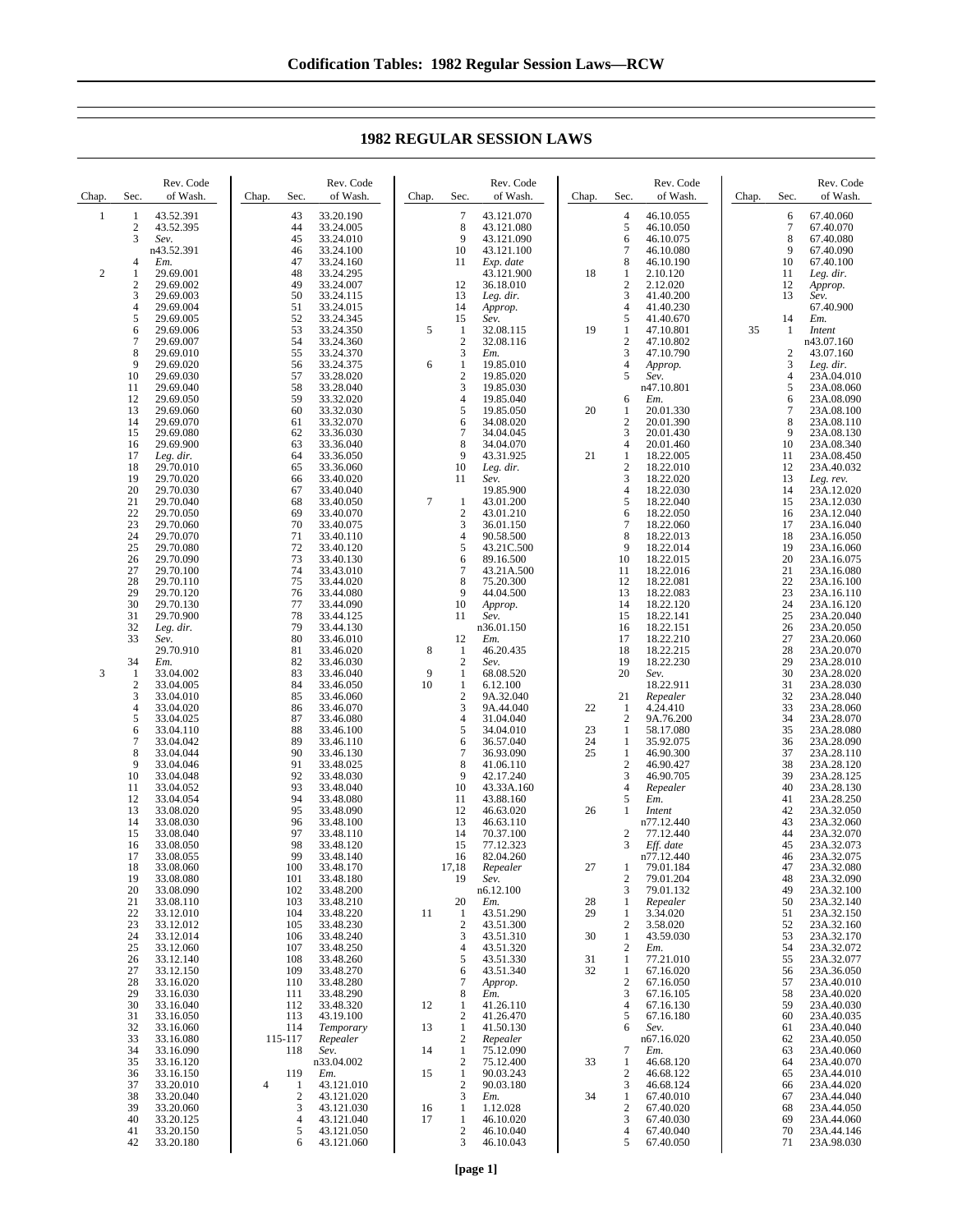Chap. Sec. Rev. Code of Wash.  $\frac{1}{2}$   $\frac{43.52.391}{43.52.395}$ 2 43.52.395<br>3 Sev. 3 *Sev.* n43.52.391 4 *Em.* 2 1 29.69.001  $\frac{2}{3}$  29.69.002 3 29.69.003 4 29.69.004 5 29.69.005<br>6 29.69.006<br>7 29.69.007 29.69.006 7 29.69.007<br>8 29.69.010 8 29.69.010<br>9 29.69.020 9 29.69.020<br>10 29.69.030 10 29.69.030 11 29.69.040 12 29.69.050<br>13 29.69.060 13 29.69.060<br>14 29.69.070 14 29.69.070<br>15 29.69.080 29.69.080 16 29.69.900<br>17 Leg. dir. 17 *Leg. dir.* 18 29.70.010<br>19 29.70.020 29.70.020 20 29.70.030<br>21 29.70.040 21 29.70.040 22 29.70.050<br>23 29.70.060 23 29.70.060<br>24 29.70.070 24 29.70.070<br>25 29.70.080 25 29.70.080<br>26 29.70.090 26 29.70.090<br>27 29.70.100 27 29.70.100 28 29.70.110<br>29 29.70.120 29 29.70.120<br>30 29.70.130 30 29.70.130<br>31 29.70.900  $\frac{31}{32}$   $\frac{29.70.900}{29.00}$ 32 *Leg. dir.* 33 *Sev.* 29.70.910 34 *Em.*  $\begin{array}{ccc} 3 & 1 & 33.04.002 \\ 2 & 33.04.005 \end{array}$ 2 33.04.005 3 33.04.010 4 33.04.020<br>5 33.04.025 5 33.04.025<br>6 33.04.110  $\frac{6}{7}$  33.04.110 7 33.04.042 8 33.04.044<br>9 33.04.046 9 33.04.046<br>10 33.04.048 10 33.04.048<br>11 33.04.052 11 33.04.052<br>12 33.04.054 33.04.054 13 33.08.020 14 33.08.030<br>15 33.08.040 15 33.08.040<br>16 33.08.050 16 33.08.050<br>17 33.08.055 33.08.055 18 33.08.060<br>19 33.08.080 19 33.08.080<br>
20 33.08.090<br>
21 33.08.110 33.08.090 21 33.08.110<br>22 33.12.010 22 33.12.010<br>23 33.12.012 23 33.12.012<br>24 33.12.014 24 33.12.014<br>25 33.12.060<br>26 33.12.140 25 33.12.060 26 33.12.140<br>27 33.12.150 27 33.12.150<br>28 33.16.020 28 33.16.020<br>29 33.16.030 29 33.16.030<br>30 33.16.040<br>31 33.16.050 33.16.040 31 33.16.050<br>32 33.16.060 32 33.16.060 33 33.16.080<br>34 33.16.090 34 33.16.090<br>35 33.16.120 35 33.16.120<br>36 33.16.150 36 33.16.150<br>37 33.20.010 37 33.20.010 38 33.20.040<br>39 33.20.060 39 33.20.060<br>40 33.20.125 Chap. Sec Rev. Code of Wash. 43 33.20.190<br>44 33.24.005 44 33.24.005<br>45 33.24.010 45 33.24.010<br>46 33.24.100 46 33.24.100<br>47 33.24.160 47 33.24.160 48 33.24.295<br>49 33.24.007 49 33.24.007<br>50 33.24.115 50 33.24.115 51 33.24.015<br>52 33.24.345<br>53 33.24.350 33.24.345 53 33.24.350 54 33.24.360<br>55 33.24.370 55 33.24.370 56 33.24.375<br>57 33.28.020<br>58 33.28.040 57 33.28.020 58 33.28.040 59 33.32.020 60 33.32.030<br>61 33.32.070 61 33.32.070<br>62 33.36.030<br>63 33.36.040 33.36.030 63 33.36.040<br>64 33.36.050 64 33.36.050<br>65 33.36.060 65 33.36.060 33.40.020 67 33.40.040 68 33.40.050<br>69 33.40.070 69 33.40.070 70 33.40.075<br>71 33.40.110 33.40.110 72 33.40.120 73 33.40.130<br>74 33.43.010 74 33.43.010 33.44.020 76 33.44.080<br>77 33.44.090<br>78 33.44.125 77 33.44.090 78 33.44.125 79 33.44.130<br>80 33.46.010 80 33.46.010 81 33.46.020 82 33.46.030<br>83 33.46.040 83 33.46.040<br>84 33.46.050 84 33.46.050 33.46.060 86 33.46.070 87 33.46.080<br>88 33.46.100 88 33.46.100<br>89 33.46.110 89 33.46.110<br>90 33.46.130 90 33.46.130<br>91 33.48.025 91 33.48.025<br>92 33.48.030 92 33.48.030 93 33.48.040<br>94 33.48.080 94 33.48.080<br>95 33.48.090 95 33.48.090<br>96 33.48.100 96 33.48.100<br>97 33.48.110 97 33.48.110<br>98 33.48.120 98 33.48.120<br>99 33.48.140 99 33.48.140<br>100 33.48.170 100 33.48.170<br>101 33.48.180 101 33.48.180 102 33.48.200 103 33.48.210<br>104 33.48.220 104 33.48.220<br>105 33.48.230 105 33.48.230<br>106 33.48.240 106 33.48.240<br>107 33.48.250 107 33.48.250<br>108 33.48.260 108 33.48.260<br>109 33.48.270 109 33.48.270<br>110 33.48.280 110 33.48.280<br>111 33.48.290 33.48.290 112 33.48.320<br>113 43.19.100 113 43.19.100<br>114 Temporar 114 *Temporary* 115-117 *Repealer* 118 *Sev.* n33.04.002 119 *Em.*  $\begin{array}{cccc} 4 & 1 & 43.121.010 \\ 2 & 43.121.020 \end{array}$ 2 43.121.020<br>3 43.121.030 3 43.121.030<br>4 43.121.040<br>5 43.121.050 Chap. Sec. Rev. Code of Wash. 7 43.121.070<br>8 43.121.080 8 43.121.080<br>9 43.121.090 9 43.121.090<br>10 43.121.100 10 43.121.100<br>11 Exp. date 11 *Exp. date* 43.121.900  $12 \t 36.18.010$ <br>13 Leg. dir. 13 *Leg. dir.* 14 *Approp.* 15 *Sev.* 5 1 32.08.115  $\frac{2}{3}$  32.08.116 3 *Em.* 6 1 19.85.010<br>2 19.85.020<br>3 19.85.030 2 19.85.020 3 19.85.030<br>4 19.85.040 4 19.85.040<br>5 19.85.050 5 19.85.050<br>6 34.08.020 6 34.08.020<br>7 34.04.045 7 34.04.045<br>8 34.04.070  $\begin{array}{r} 8 & 34.04.070 \\ 9 & 43.31.925 \end{array}$ 9 43.31.925<br>10 *Leg. dir.* 10 *Leg. dir.* Sev. 19.85.900  $\begin{array}{cccc} 7 & 1 & 43.01.200 \\ 2 & 43.01.210 \end{array}$  $\frac{2}{3}$  43.01.210 3 36.01.150<br>4 90.58.500 90.58.500 5 43.21C.500  $6 \t 89.16.500$ <br>7 43.21A.50 7 43.21A.500<br>8 75 20 300 8 75.20.300 9 44.04.500<br>10 *Annron*. 10 *Approp.* 11 *Sev.* n36.01.150 12 *Em.* 8 1 46.20.435 2 *Sev.* 9 1 68.08.520 6.12.100 2 9A.32.040 3 9A.44.040<br>4 31.04.040 4 31.04.040<br>5 34.04.010  $\begin{array}{r} 5 \\ 6 \\ \end{array} \quad \begin{array}{r} 34.04.010 \\ 36.57.040 \end{array}$ 6 36.57.040 7 36.93.090 8 41.06.110<br>9 42.17.240  $9$  42.17.240<br>10 43.33A.16 10 43.33A.160<br>11 43.88.160 43.88.160 12 46.63.020<br>13 46.63.110 13 46.63.110<br>14 70.37.100 14 70.37.100<br>15 77 12 323 15 77.12.323<br>16 82.04.260 16 82.04.260<br>17.18 *Repealer* 17,18 *Repealer* 19 *Sev.* n6.12.100 20 *Em.*<br>11 1 43.51.290 2 43.51.300<br>3 43.51.310 3 43.51.310  $4$  43.51.320<br>5 43.51.330 5 43.51.330<br>6 43.51.340 6 43.51.340 7 *Approp.* 8 *Em.*  $12 \t 1 \t 41.26.110$ <br>2  $41.26.470$ 2 41.26.470<br>1 41.50.130 13 1 41.50.130<br>2 *Repealer* 2 *Repealer* 14 1 75.12.090 2 75.12.400 15 1 90.03.243<br>2 90.03.180  $\frac{2}{3}$  90.03.180 3 *Em.* 16 1 1.12.028<br>17 1 46.10.02 Chap. Sec. Rev. Code of Wash.  $\frac{4}{5}$   $\frac{46.10.055}{46.10.050}$  $\begin{array}{r} 5 & 46.10.050 \\ 6 & 46.10.075 \\ 7 & 46.10.080 \end{array}$ 6 46.10.075 7 46.10.080  $\begin{array}{@{}c@{\hspace{0.1em}}c@{\hspace{0.1em}}c@{\hspace{0.1em}}c@{\hspace{0.1em}}c@{\hspace{0.1em}}c@{\hspace{0.1em}}c@{\hspace{0.1em}}c@{\hspace{0.1em}}c@{\hspace{0.1em}}c@{\hspace{0.1em}}c@{\hspace{0.1em}}c@{\hspace{0.1em}}c@{\hspace{0.1em}}c@{\hspace{0.1em}}c@{\hspace{0.1em}}c@{\hspace{0.1em}}c@{\hspace{0.1em}}c@{\hspace{0.1em}}c@{\hspace{0.1em}}c@{\hs$ 18 1 2.10.120<br>2 2.12.020  $\frac{2.12.020}{3}$   $\frac{41.40.200}{41.40.200}$ 3 41.40.200  $41.40.230$ <br> $541.40.670$ 5 41.40.670<br>1 47.10.801 19 1 47.10.801<br>2 47.10.802 2 47.10.802<br>3 47.10.790 3 47.10.790<br>4 Approp. 4 *Approp.* 5 *Sev.* n47.10.801 6 *Em.* 20 1 20.01.330  $\begin{array}{cc}\n 2 & 20.01.390 \\
 3 & 20.01.430\n \end{array}$ 3 20.01.430  $\frac{20.01.460}{1}$  18.22.005 21 18.22.005<br>2 18.22.010  $\begin{array}{r} 2 \\ 3 \\ 18.22.020 \end{array}$ 3 18.22.020 4 18.22.030<br>5 18.22.040 5 18.22.040  $\frac{6}{7}$  18.22.050 7 18.22.060<br>8 18.22.013 8 18.22.013 9 18.22.014<br>10 18.22.015 10 18.22.015<br>11 18.22.016 11 18.22.016<br>12 18.22.081 12 18.22.081 13 18.22.083 14 18.22.120<br>15 18.22.141 15 18.22.141<br>16 18.22.151 16 18.22.151<br>17 18.22.210 17 18.22.210 18 18.22.215 19 18.22.230<br>20 *Sev*. 20 *Sev.* 18.22.911 21 *Repealer* 22  $1$  4.24.410<br>2 9A.76.20 2 9A.76.200 23 1 58.17.080<br>24 1 35.92.075 24 1 35.92.075<br>25 1 46.90.300 1 46.90.300 2 46.90.427<br>3 46.90.705 3 46.90.705<br>4 Repeater 4 *Repealer* 5 *Em.* 26 1 *Intent* n77.12.440 2  $77.12.440$ <br>3 Fff date 3 *Eff. date*  $n77.12.440$ 27 1 79.01.184 2 79.01.204<br>3 79.01.132 3 79.01.132 28 1 *Repealer* 29 1 3.34.020 2 3.58.020<br>1 43.59.03 30 1 43.59.030<br>2 *Em.* 2 *Em.*<br>31 1 77.21.010 32 1 67.16.020  $\begin{array}{cc} 2 & 67.16.050 \\ 3 & 67.16.105 \end{array}$ 3 67.16.105 4 67.16.130  $5$  67.16.180<br>6 *Sev*. 6 *Sev.* n67.16.020 7 *Em.* 33 1 46.68.120 2 46.68.122<br>3 46.68.124  $\frac{3}{1}$  46.68.124 34 1 67.40.010  $\begin{array}{r} 2 & 67.40.020 \\ 3 & 67.40.030 \\ 4 & 67.40.040 \end{array}$ Chap. Sec. Rev. Code of Wash.  $\begin{array}{cc}\n 6 & 67.40.060 \\
 7 & 67.40.070\n \end{array}$ 7 67.40.070<br>8 67.40.080 8 67.40.080<br>9 67.40.090 9 67.40.090<br>10 67.40.100 10 67.40.100 Leg. dir. 12 *Approp.* 13 *Sev.* 67.40.900 14 *Em.* 35 1 *Intent* n43.07.160 2 43.07.160<br>3 Leg. dir. 3 *Leg. dir.* 23A.04.010 5 23A.08.060<br>6 23A.08.090 23A.08.090 7 23A.08.100<br>8 23A.08.110 8 23A.08.110<br>9 23A.08.130 9 23A.08.130<br>10 23A.08.340 10 23A.08.340<br>11 23A.08.450 11 23A.08.450<br>12 23A.40.032 12 23A.40.032<br>13 Leg. rev. Leg. rev. 14 23A.12.020<br>15 23A.12.030 15 23A.12.030<br>16 23A.12.040 16 23A.12.040<br>17 23A.16.040 17 23A.16.040<br>18 23A.16.050 23A.16.050 19 23A.16.060 20 23A.16.075<br>21 23A.16.080 21 23A.16.080<br>22 23A.16.100<br>23 23A.16.110 22 23A.16.100 23 23A.16.110<br>24 23A.16.120 24 23A.16.120<br>25 23A.20.040 25 23A.20.040<br>26 23A.20.050 26 23A.20.050<br>27 23A.20.060<br>28 23A.20.070 27 23A.20.060 28 23A.20.070<br>29 23A.28.010 29 23A.28.010<br>30 23A.28.020 30 23A.28.020 23A.28.030 32 23A.28.040<br>33 23A.28.060 33 23A.28.060 34 23A.28.070<br>35 23A.28.080 35 23A.28.080 36 23A.28.090<br>37 23A.28.110 37 23A.28.110 38 23A.28.120<br>39 23A.28.125 39 23A.28.125<br>40 23A 28.130 40 23A.28.130<br>41 23A 28 250 41 23A.28.250<br>42 23A 32.050 42 23A.32.050 43 23A.32.060 44 23A.32.070<br>45 23A 32.073 45 23A.32.073<br>46 23A 32.075 46 23A.32.075<br>47 23A.32.080 47 23A.32.080<br>48 23A.32.090 48 23A.32.090 49 23A.32.100<br>50 23A 32 140 50 23A.32.140<br>51 23A 32.150 51 23A.32.150<br>52 23A.32.160 52 23A.32.160<br>53 23A.32.170 53 23A.32.170<br>54 23A.32.072<br>55 23A.32.077 23A.32.072 55 23A.32.077<br>56 23A.36.050 56 23A.36.050 57 23A.40.010 58 23A.40.020<br>59 23A.40.030<br>60 23A.40.035 23A.40.030 60 23A.40.035<br>61 23A.40.040 61 23A.40.040<br>62 23A.40.050 62 23A.40.050<br>63 23A.40.060 63 23A.40.060 64 23A.40.070<br>65 23A.44.010 65 23A.44.010<br>66 23A.44.020 66 23A.44.020<br>67 23A.44.040 67 23A.44.040 68 23A.44.050<br>69 23A.44.060<br>70 23A.44.146

## **1982 REGULAR SESSION LAWS**

 $\frac{1}{2}$  46.10.020<br>46.10.040  $\begin{array}{r} 2 & 46.10.040 \\ 3 & 46.10.043 \end{array}$ 3 46.10.043

67.40.030  $\begin{bmatrix} 4 & 67.40.040 \\ 5 & 67.40.050 \end{bmatrix}$ 67.40.050

23A.44.060 70 23A.44.146<br>71 23A.98.030 23A.98.030

4 43.121.040 5 43.121.050 6 43.121.060

40 33.20.125 41 33.20.150 42 33.20.180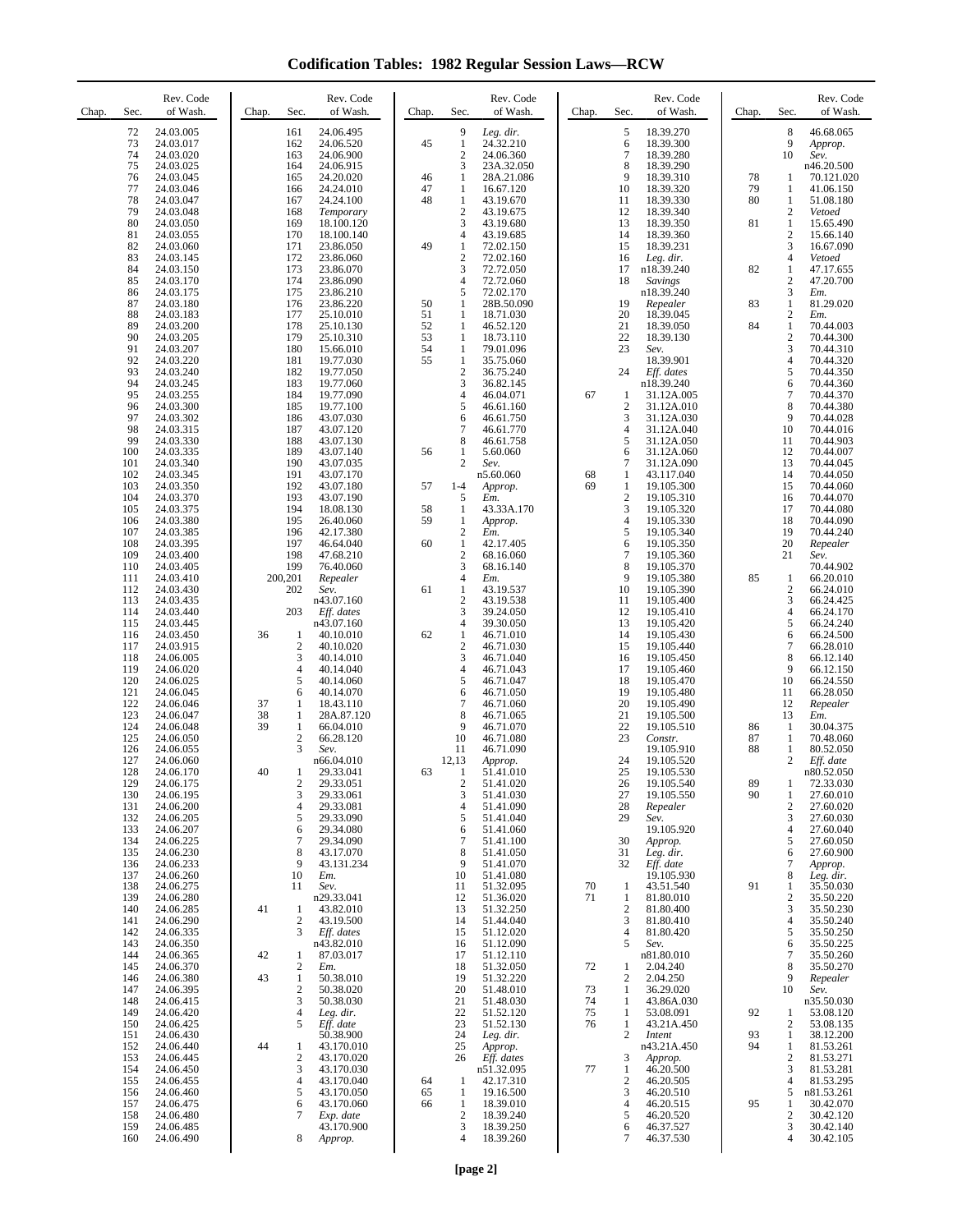**Codification Tables: 1982 Regular Session Laws—RCW**

| Sec.<br>Chap. | Rev. Code<br>of Wash.  | Chap.<br>Sec.                      | Rev. Code<br>of Wash.    | Chap.    | Sec.                           | Rev. Code<br>of Wash.   | Chap.    | Sec.                  | Rev. Code<br>of Wash.    | Chap.    | Sec.                           | Rev. Code<br>of Wash.   |
|---------------|------------------------|------------------------------------|--------------------------|----------|--------------------------------|-------------------------|----------|-----------------------|--------------------------|----------|--------------------------------|-------------------------|
| 72            | 24.03.005              | 161                                | 24.06.495                |          | 9                              | Leg. dir.               |          | 5                     | 18.39.270                |          | 8                              | 46.68.065               |
| 73<br>74      | 24.03.017<br>24.03.020 | 162<br>163                         | 24.06.520<br>24.06.900   | 45       | 1<br>$\overline{2}$            | 24.32.210<br>24.06.360  |          | 6<br>$\overline{7}$   | 18.39.300<br>18.39.280   |          | 9<br>10                        | Approp.<br>Sev.         |
| 75            | 24.03.025              | 164                                | 24.06.915                |          | 3                              | 23A.32.050              |          | 8                     | 18.39.290                |          |                                | n46.20.500              |
| 76<br>77      | 24.03.045<br>24.03.046 | 165<br>166                         | 24.20.020<br>24.24.010   | 46<br>47 | 1<br>1                         | 28A.21.086<br>16.67.120 |          | 9<br>10               | 18.39.310<br>18.39.320   | 78<br>79 | 1<br>1                         | 70.121.020<br>41.06.150 |
| 78            | 24.03.047              | 167                                | 24.24.100                | 48       | 1                              | 43.19.670               |          | 11                    | 18.39.330                | 80       | 1                              | 51.08.180               |
| 79<br>80      | 24.03.048<br>24.03.050 | 168<br>169                         | Temporary<br>18.100.120  |          | $\overline{2}$<br>3            | 43.19.675<br>43.19.680  |          | 12<br>13              | 18.39.340<br>18.39.350   | 81       | $\overline{c}$<br>1            | Vetoed<br>15.65.490     |
| 81            | 24.03.055              | 170                                | 18.100.140               |          | $\overline{4}$                 | 43.19.685               |          | 14                    | 18.39.360                |          | $\overline{c}$                 | 15.66.140               |
| 82<br>83      | 24.03.060<br>24.03.145 | 171<br>172                         | 23.86.050<br>23.86.060   | 49       | 1<br>$\overline{2}$            | 72.02.150<br>72.02.160  |          | 15<br>16              | 18.39.231<br>Leg. dir.   |          | 3<br>4                         | 16.67.090<br>Vetoed     |
| 84            | 24.03.150              | 173                                | 23.86.070                |          | 3                              | 72.72.050               |          | 17                    | n18.39.240               | 82       | 1                              | 47.17.655               |
| 85<br>86      | 24.03.170<br>24.03.175 | 174<br>175                         | 23.86.090<br>23.86.210   |          | 4<br>5                         | 72.72.060<br>72.02.170  |          | 18                    | Savings<br>n18.39.240    |          | $\sqrt{2}$<br>3                | 47.20.700<br>Em.        |
| 87            | 24.03.180              | 176                                | 23.86.220                | 50       | 1                              | 28B.50.090              |          | 19                    | Repealer                 | 83       | $\mathbf{1}$                   | 81.29.020               |
| 88<br>89      | 24.03.183<br>24.03.200 | 177<br>178                         | 25.10.010<br>25.10.130   | 51<br>52 | 1<br>1                         | 18.71.030<br>46.52.120  |          | 20<br>21              | 18.39.045<br>18.39.050   | 84       | $\overline{c}$<br>$\mathbf{1}$ | Em.<br>70.44.003        |
| 90            | 24.03.205              | 179                                | 25.10.310                | 53       | 1                              | 18.73.110               |          | 22                    | 18.39.130                |          | $\overline{c}$                 | 70.44.300               |
| 91<br>92      | 24.03.207<br>24.03.220 | 180<br>181                         | 15.66.010<br>19.77.030   | 54<br>55 | 1<br>$\mathbf{1}$              | 79.01.096<br>35.75.060  |          | 23                    | Sev.<br>18.39.901        |          | 3<br>$\overline{4}$            | 70.44.310<br>70.44.320  |
| 93<br>94      | 24.03.240              | 182                                | 19.77.050                |          | $\sqrt{2}$                     | 36.75.240               |          | 24                    | Eff. dates               |          | 5                              | 70.44.350               |
| 95            | 24.03.245<br>24.03.255 | 183<br>184                         | 19.77.060<br>19.77.090   |          | 3<br>4                         | 36.82.145<br>46.04.071  | 67       | -1                    | n18.39.240<br>31.12A.005 |          | 6<br>7                         | 70.44.360<br>70.44.370  |
| 96<br>97      | 24.03.300              | 185                                | 19.77.100                |          | 5                              | 46.61.160               |          | $\overline{2}$<br>3   | 31.12A.010               |          | 8<br>9                         | 70.44.380               |
| 98            | 24.03.302<br>24.03.315 | 186<br>187                         | 43.07.030<br>43.07.120   |          | 6<br>$\tau$                    | 46.61.750<br>46.61.770  |          | $\overline{4}$        | 31.12A.030<br>31.12A.040 |          | 10                             | 70.44.028<br>70.44.016  |
| 99            | 24.03.330              | 188                                | 43.07.130                |          | 8                              | 46.61.758               |          | 5                     | 31.12A.050               |          | 11                             | 70.44.903               |
| 100<br>101    | 24.03.335<br>24.03.340 | 189<br>190                         | 43.07.140<br>43.07.035   | 56       | 1<br>$\overline{2}$            | 5.60.060<br>Sev.        |          | 6<br>$\overline{7}$   | 31.12A.060<br>31.12A.090 |          | 12<br>13                       | 70.44.007<br>70.44.045  |
| 102<br>103    | 24.03.345              | 191<br>192                         | 43.07.170<br>43.07.180   | 57       | $1 - 4$                        | n5.60.060               | 68<br>69 | 1<br>1                | 43.117.040               |          | 14<br>15                       | 70.44.050               |
| 104           | 24.03.350<br>24.03.370 | 193                                | 43.07.190                |          | 5                              | Approp.<br>Em.          |          | $\overline{c}$        | 19.105.300<br>19.105.310 |          | 16                             | 70.44.060<br>70.44.070  |
| 105<br>106    | 24.03.375<br>24.03.380 | 194<br>195                         | 18.08.130<br>26,40,060   | 58<br>59 | $\mathbf{1}$<br>1              | 43.33A.170              |          | 3<br>$\overline{4}$   | 19.105.320<br>19.105.330 |          | 17<br>18                       | 70.44.080<br>70.44.090  |
| 107           | 24.03.385              | 196                                | 42.17.380                |          | $\boldsymbol{2}$               | Approp.<br>Em.          |          | 5                     | 19.105.340               |          | 19                             | 70.44.240               |
| 108<br>109    | 24.03.395<br>24.03.400 | 197<br>198                         | 46.64.040<br>47.68.210   | 60       | $\mathbf{1}$<br>$\overline{2}$ | 42.17.405<br>68.16.060  |          | 6<br>$\overline{7}$   | 19.105.350<br>19.105.360 |          | 20<br>21                       | Repealer<br>Sev.        |
| 110           | 24.03.405              | 199                                | 76.40.060                |          | 3                              | 68.16.140               |          | 8                     | 19.105.370               |          |                                | 70.44.902               |
| 111<br>112    | 24.03.410<br>24.03.430 | 200,201<br>202                     | Repealer<br>Sev.         | 61       | 4<br>1                         | Em.<br>43.19.537        |          | 9<br>10               | 19.105.380<br>19.105.390 | 85       | 1<br>$\overline{c}$            | 66.20.010<br>66.24.010  |
| 113           | 24.03.435              |                                    | n43.07.160               |          | $\boldsymbol{2}$               | 43.19.538               |          | 11                    | 19.105.400               |          | 3                              | 66.24.425               |
| 114<br>115    | 24.03.440<br>24.03.445 | 203                                | Eff. dates<br>n43.07.160 |          | 3<br>4                         | 39.24.050<br>39.30.050  |          | 12<br>13              | 19.105.410<br>19.105.420 |          | $\overline{4}$<br>5            | 66.24.170<br>66.24.240  |
| 116           | 24.03.450              | 36<br>1                            | 40.10.010                | 62       | $\mathbf{1}$                   | 46.71.010               |          | 14                    | 19.105.430               |          | 6                              | 66.24.500               |
| 117<br>118    | 24.03.915<br>24.06.005 | $\overline{c}$<br>3                | 40.10.020<br>40.14.010   |          | $\sqrt{2}$<br>3                | 46.71.030<br>46.71.040  |          | 15<br>16              | 19.105.440<br>19.105.450 |          | 7<br>8                         | 66.28.010<br>66.12.140  |
| 119           | 24.06.020              | $\overline{4}$                     | 40.14.040                |          | $\overline{4}$                 | 46.71.043               |          | 17                    | 19.105.460               |          | 9                              | 66.12.150               |
| 120<br>121    | 24.06.025<br>24.06.045 | 5<br>6                             | 40.14.060<br>40.14.070   |          | 5<br>6                         | 46.71.047<br>46.71.050  |          | 18<br>19              | 19.105.470<br>19.105.480 |          | 10<br>11                       | 66.24.550<br>66.28.050  |
| 122           | 24.06.046              | 37<br>1                            | 18.43.110                |          | 7                              | 46.71.060               |          | 20                    | 19.105.490               |          | 12                             | Repealer                |
| 123<br>124    | 24.06.047<br>24.06.048 | 38<br>1<br>39<br>1                 | 28A.87.120<br>66.04.010  |          | 8<br>9                         | 46.71.065<br>46.71.070  |          | 21<br>22              | 19.105.500<br>19.105.510 | 86       | 13<br>1                        | Em.<br>30.04.375        |
| 125           | 24.06.050              | $\sqrt{2}$                         | 66.28.120                |          | 10                             | 46.71.080               |          | 23                    | Constr.                  | 87       | 1                              | 70.48.060               |
| 126<br>127    | 24.06.055<br>24.06.060 | 3                                  | Sev.<br>n66.04.010       |          | 11<br>12,13                    | 46.71.090<br>Approp.    |          | 24                    | 19.105.910<br>19.105.520 | 88       | 1<br>$\overline{2}$            | 80.52.050<br>Eff. date  |
| 128           | 24.06.170<br>24.06.175 | 40<br>1                            | 29.33.041<br>29.33.051   | 63       | -1                             | 51.41.010               |          | 25<br>26              | 19.105.530               |          | $\mathbf{1}$                   | n80.52.050              |
| 129<br>130    | 24.06.195              | 2<br>3                             | 29.33.061                |          | $\boldsymbol{2}$<br>3          | 51.41.020<br>51.41.030  |          | 27                    | 19.105.540<br>19.105.550 | 89<br>90 | 1                              | 72.33.030<br>27.60.010  |
| 131<br>132    | 24.06.200<br>24.06.205 | $\overline{4}$<br>5                | 29.33.081<br>29.33.090   |          | 4<br>5                         | 51.41.090<br>51.41.040  |          | 28<br>29              | Repealer<br>Sev.         |          | 2<br>3                         | 27.60.020<br>27.60.030  |
| 133           | 24.06.207              | 6                                  | 29.34.080                |          | 6                              | 51.41.060               |          |                       | 19.105.920               |          | $\overline{4}$                 | 27.60.040               |
| 134<br>135    | 24.06.225<br>24.06.230 | 7<br>8                             | 29.34.090<br>43.17.070   |          | $\overline{7}$<br>8            | 51.41.100<br>51.41.050  |          | 30<br>31              | Approp.<br>Leg. dir.     |          | 5<br>6                         | 27.60.050<br>27.60.900  |
| 136           | 24.06.233              | 9                                  | 43.131.234               |          | 9                              | 51.41.070               |          | 32                    | Eff. date                |          | 7                              | Approp.                 |
| 137<br>138    | 24.06.260<br>24.06.275 | 10<br>11                           | Em.<br>Sev.              |          | 10<br>11                       | 51.41.080<br>51.32.095  | 70       | 1                     | 19.105.930<br>43.51.540  | 91       | 8<br>1                         | Leg. dir.<br>35.50.030  |
| 139           | 24.06.280              |                                    | n29.33.041               |          | 12                             | 51.36.020               | 71       | $\mathbf{1}$          | 81.80.010                |          | 2                              | 35.50.220               |
| 140<br>141    | 24.06.285<br>24.06.290 | 41<br>1<br>$\overline{c}$          | 43.82.010<br>43.19.500   |          | 13<br>14                       | 51.32.250<br>51.44.040  |          | $\boldsymbol{2}$<br>3 | 81.80.400<br>81.80.410   |          | 3<br>$\overline{4}$            | 35.50.230<br>35.50.240  |
| 142           | 24.06.335              | 3                                  | Eff. dates               |          | 15                             | 51.12.020               |          | $\overline{4}$        | 81.80.420                |          | 5                              | 35.50.250               |
| 143<br>144    | 24.06.350<br>24.06.365 | 42<br>1                            | n43.82.010<br>87.03.017  |          | 16<br>17                       | 51.12.090<br>51.12.110  |          | 5                     | Sev.<br>n81.80.010       |          | 6<br>$\tau$                    | 35.50.225<br>35.50.260  |
| 145           | 24.06.370              | $\overline{\mathbf{c}}$            | Em.                      |          | 18                             | 51.32.050               | 72       | 1                     | 2.04.240                 |          | 8                              | 35.50.270               |
| 146<br>147    | 24.06.380<br>24.06.395 | $\mathbf{1}$<br>43<br>$\mathbf{2}$ | 50.38.010<br>50.38.020   |          | 19<br>20                       | 51.32.220<br>51.48.010  | 73       | $\overline{2}$<br>1   | 2.04.250<br>36.29.020    |          | 9<br>10                        | Repealer<br>Sev.        |
| 148           | 24.06.415              | 3                                  | 50.38.030                |          | 21                             | 51.48.030               | 74       | 1                     | 43.86A.030               |          |                                | n35.50.030              |
| 149<br>150    | 24.06.420<br>24.06.425 | $\overline{4}$<br>5                | Leg. dir.<br>Eff. date   |          | 22<br>23                       | 51.52.120<br>51.52.130  | 75<br>76 | 1<br>1                | 53.08.091<br>43.21A.450  | 92       | 1<br>2                         | 53.08.120<br>53.08.135  |
| 151<br>152    | 24.06.430<br>24.06.440 | 44<br>1                            | 50.38.900<br>43.170.010  |          | 24<br>25                       | Leg. dir.<br>Approp.    |          | $\overline{c}$        | Intent<br>n43.21A.450    | 93<br>94 | 1<br>$\mathbf{1}$              | 38.12.200<br>81.53.261  |
| 153           | 24.06.445              | 2                                  | 43.170.020               |          | 26                             | Eff. dates              |          | 3                     | Approp.                  |          | $\overline{\mathbf{c}}$        | 81.53.271               |
| 154<br>155    | 24.06.450<br>24.06.455 | 3<br>4                             | 43.170.030<br>43.170.040 | 64       | $\mathbf{1}$                   | n51.32.095<br>42.17.310 | 77       | 1<br>$\overline{c}$   | 46.20.500<br>46.20.505   |          | 3<br>$\overline{4}$            | 81.53.281<br>81.53.295  |
| 156           | 24.06.460              | 5                                  | 43.170.050               | 65       | 1                              | 19.16.500               |          | 3                     | 46.20.510                |          | 5                              | n81.53.261              |
| 157<br>158    | 24.06.475<br>24.06.480 | 6<br>7                             | 43.170.060<br>Exp. date  | 66       | 1<br>$\overline{2}$            | 18.39.010<br>18.39.240  |          | $\overline{4}$<br>5   | 46.20.515<br>46.20.520   | 95       | 1<br>$\overline{c}$            | 30.42.070<br>30.42.120  |
| 159           | 24.06.485              |                                    | 43.170.900               |          | 3                              | 18.39.250               |          | 6                     | 46.37.527                |          | 3                              | 30.42.140               |
| 160           | 24.06.490              | 8                                  | Approp.                  |          | 4                              | 18.39.260               |          | 7                     | 46.37.530                |          | 4                              | 30.42.105               |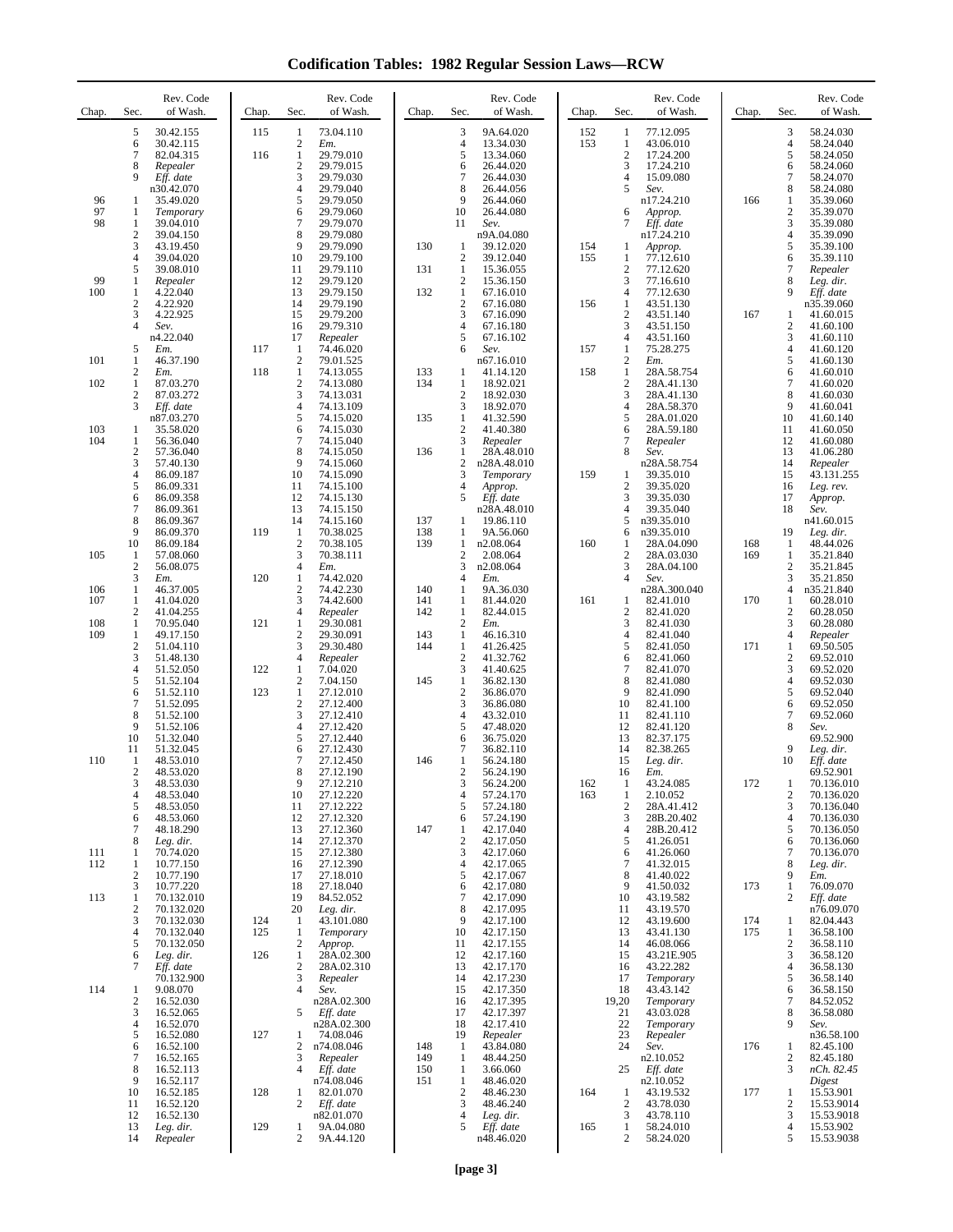**Codification Tables: 1982 Regular Session Laws—RCW**

| Chap.             | Sec.                                     | Rev. Code<br>of Wash.                                         | Chap.      | Sec.                                                       | Rev. Code<br>of Wash.                                         | Chap.             | Sec.                                       | Rev. Code<br>of Wash.                                          | Chap.      | Sec.                                                           | Rev. Code<br>of Wash.                                           | Chap.      | Sec.                                                     | Rev. Code<br>of Wash.                                              |
|-------------------|------------------------------------------|---------------------------------------------------------------|------------|------------------------------------------------------------|---------------------------------------------------------------|-------------------|--------------------------------------------|----------------------------------------------------------------|------------|----------------------------------------------------------------|-----------------------------------------------------------------|------------|----------------------------------------------------------|--------------------------------------------------------------------|
|                   | 5<br>6<br>7<br>8<br>9                    | 30.42.155<br>30.42.115<br>82.04.315<br>Repealer<br>Eff. date  | 115<br>116 | 1<br>$\mathfrak{2}$<br>$\mathbf{1}$<br>$\mathfrak{2}$<br>3 | 73.04.110<br>Em.<br>29.79.010<br>29.79.015<br>29.79.030       |                   | 3<br>4<br>5<br>6<br>$\overline{7}$         | 9A.64.020<br>13.34.030<br>13.34.060<br>26.44.020<br>26.44.030  | 152<br>153 | 1<br>1<br>$\overline{c}$<br>3<br>$\overline{4}$                | 77.12.095<br>43.06.010<br>17.24.200<br>17.24.210<br>15.09.080   |            | 3<br>$\overline{4}$<br>5<br>6<br>$\tau$                  | 58.24.030<br>58.24.040<br>58.24.050<br>58.24.060<br>58.24.070      |
| 96<br>97<br>98    | 1<br>1<br>1                              | n30.42.070<br>35.49.020<br>Temporary<br>39.04.010             |            | $\overline{4}$<br>5<br>6<br>7                              | 29.79.040<br>29.79.050<br>29.79.060<br>29.79.070              |                   | 8<br>9<br>10<br>11                         | 26.44.056<br>26.44.060<br>26.44.080<br>Sev.                    |            | 5<br>6<br>7                                                    | Sev.<br>n17.24.210<br>Approp.<br>Eff. date                      | 166        | 8<br>1<br>$\boldsymbol{2}$<br>3                          | 58.24.080<br>35.39.060<br>35.39.070<br>35.39.080                   |
|                   | $\overline{c}$<br>3<br>4<br>5            | 39.04.150<br>43.19.450<br>39.04.020<br>39.08.010              |            | 8<br>9<br>10<br>11                                         | 29.79.080<br>29.79.090<br>29.79.100<br>29.79.110              | 130<br>131        | -1<br>$\overline{2}$<br>1                  | n9A.04.080<br>39.12.020<br>39.12.040<br>15.36.055              | 154<br>155 | 1<br>1<br>$\overline{c}$                                       | n17.24.210<br>Approp.<br>77.12.610<br>77.12.620                 |            | $\overline{4}$<br>5<br>6<br>$\overline{7}$               | 35.39.090<br>35.39.100<br>35.39.110<br>Repealer                    |
| 99<br>100         | 1<br>1<br>$\mathbf{2}$<br>3              | Repealer<br>4.22.040<br>4.22.920<br>4.22.925                  |            | 12<br>13<br>14<br>15                                       | 29.79.120<br>29.79.150<br>29.79.190<br>29.79.200              | 132               | $\overline{c}$<br>1<br>$\overline{2}$<br>3 | 15.36.150<br>67.16.010<br>67.16.080<br>67.16.090               | 156        | 3<br>$\overline{4}$<br>$\mathbf{1}$<br>$\overline{\mathbf{c}}$ | 77.16.610<br>77.12.630<br>43.51.130<br>43.51.140                | 167        | 8<br>9<br>1                                              | Leg. dir.<br>Eff. date<br>n35.39.060<br>41.60.015                  |
| 101               | $\overline{4}$<br>5<br>1                 | Sev.<br>n4.22.040<br>Em.<br>46.37.190                         | 117        | 16<br>17<br>$\mathbf{1}$<br>$\mathbf{2}$                   | 29.79.310<br>Repealer<br>74.46.020<br>79.01.525               |                   | $\overline{4}$<br>5<br>6                   | 67.16.180<br>67.16.102<br>Sev.<br>n67.16.010                   | 157        | 3<br>4<br>1<br>$\overline{c}$                                  | 43.51.150<br>43.51.160<br>75.28.275<br>Em.                      |            | $\overline{c}$<br>3<br>$\overline{4}$<br>5               | 41.60.100<br>41.60.110<br>41.60.120<br>41.60.130                   |
| 102               | $\mathbf{2}$<br>1<br>$\mathbf{2}$<br>3   | Em.<br>87.03.270<br>87.03.272<br>Eff. date                    | 118        | 1<br>$\mathbf{2}$<br>3<br>$\overline{4}$                   | 74.13.055<br>74.13.080<br>74.13.031<br>74.13.109              | 133<br>134        | 1<br>-1<br>$\overline{2}$<br>3             | 41.14.120<br>18.92.021<br>18.92.030                            | 158        | $\mathbf{1}$<br>$\overline{c}$<br>3<br>4                       | 28A.58.754<br>28A.41.130<br>28A.41.130<br>28A.58.370            |            | 6<br>$\tau$<br>8<br>9                                    | 41.60.010<br>41.60.020<br>41.60.030<br>41.60.041                   |
| 103<br>104        | 1<br>1                                   | n87.03.270<br>35.58.020<br>56.36.040                          |            | 5<br>6<br>7<br>8                                           | 74.15.020<br>74.15.030<br>74.15.040                           | 135               | $\mathbf{1}$<br>$\boldsymbol{2}$<br>3<br>1 | 18.92.070<br>41.32.590<br>41.40.380<br>Repealer                |            | 5<br>6<br>7<br>8                                               | 28A.01.020<br>28A.59.180<br>Repealer                            |            | 10<br>11<br>12<br>13                                     | 41.60.140<br>41.60.050<br>41.60.080                                |
|                   | 2<br>3<br>4<br>5<br>6                    | 57.36.040<br>57.40.130<br>86.09.187<br>86.09.331<br>86.09.358 |            | 9<br>10<br>11<br>12                                        | 74.15.050<br>74.15.060<br>74.15.090<br>74.15.100<br>74.15.130 | 136               | $\overline{2}$<br>3<br>$\overline{4}$<br>5 | 28A.48.010<br>n28A.48.010<br>Temporary<br>Approp.<br>Eff. date | 159        | 1<br>$\overline{c}$<br>3                                       | Sev.<br>n28A.58.754<br>39.35.010<br>39.35.020<br>39.35.030      |            | 14<br>15<br>16<br>17                                     | 41.06.280<br>Repealer<br>43.131.255<br>Leg. rev.<br>Approp.        |
|                   | 7<br>8<br>9<br>10                        | 86.09.361<br>86.09.367<br>86.09.370<br>86.09.184              | 119        | 13<br>14<br>1<br>$\mathfrak{2}$                            | 74.15.150<br>74.15.160<br>70.38.025<br>70.38.105              | 137<br>138<br>139 | 1<br>-1<br>1                               | n28A.48.010<br>19.86.110<br>9A.56.060<br>n2.08.064             | 160        | 4<br>5<br>6<br>1                                               | 39.35.040<br>n39.35.010<br>n39.35.010<br>28A.04.090             | 168        | 18<br>19<br>1                                            | Sev.<br>n41.60.015<br>Leg. dir.<br>48.44.026                       |
| 105<br>106        | 1<br>$\mathbf{2}$<br>3<br>1              | 57.08.060<br>56.08.075<br>Em.<br>46.37.005                    | 120        | 3<br>$\overline{4}$<br>1<br>$\mathbf{2}$                   | 70.38.111<br>Em.<br>74.42.020<br>74.42.230                    | 140               | $\boldsymbol{2}$<br>3<br>4<br>$\mathbf{1}$ | 2.08.064<br>n2.08.064<br>Em.<br>9A.36.030                      |            | $\overline{c}$<br>3<br>4                                       | 28A.03.030<br>28A.04.100<br>Sev.<br>n28A.300.040                | 169        | 1<br>$\overline{c}$<br>3<br>4                            | 35.21.840<br>35.21.845<br>35.21.850<br>n35.21.840                  |
| 107<br>108<br>109 | 1<br>$\overline{2}$<br>$\mathbf{1}$<br>1 | 41.04.020<br>41.04.255<br>70.95.040<br>49.17.150              | 121        | 3<br>$\overline{4}$<br>1<br>2                              | 74.42.600<br>Repealer<br>29.30.081<br>29.30.091               | 141<br>142<br>143 | -1<br>1<br>$\overline{c}$<br>1             | 81.44.020<br>82.44.015<br>Em.<br>46.16.310                     | 161        | 1<br>$\overline{c}$<br>3<br>4                                  | 82.41.010<br>82.41.020<br>82.41.030<br>82.41.040                | 170        | 1<br>$\overline{c}$<br>3<br>$\overline{4}$               | 60.28.010<br>60.28.050<br>60.28.080<br>Repealer                    |
|                   | $\mathbf{2}$<br>3<br>$\overline{4}$<br>5 | 51.04.110<br>51.48.130<br>51.52.050<br>51.52.104              | 122        | 3<br>4<br>1<br>$\boldsymbol{2}$                            | 29.30.480<br>Repealer<br>7.04.020<br>7.04.150                 | 144<br>145        | $\mathbf{1}$<br>$\boldsymbol{2}$<br>3<br>1 | 41.26.425<br>41.32.762<br>41.40.625<br>36.82.130               |            | 5<br>6<br>$\overline{7}$<br>8                                  | 82.41.050<br>82.41.060<br>82.41.070<br>82.41.080                | 171        | $\mathbf{1}$<br>$\overline{c}$<br>3<br>4                 | 69.50.505<br>69.52.010<br>69.52.020<br>69.52.030                   |
|                   | 6<br>7<br>8<br>9                         | 51.52.110<br>51.52.095<br>51.52.100<br>51.52.106              | 123        | $\mathbf{1}$<br>$\boldsymbol{2}$<br>3<br>$\overline{4}$    | 27.12.010<br>27.12.400<br>27.12.410<br>27.12.420              |                   | $\overline{2}$<br>3<br>$\overline{4}$<br>5 | 36.86.070<br>36.86.080<br>43.32.010<br>47.48.020               |            | 9<br>10<br>11<br>12                                            | 82.41.090<br>82.41.100<br>82.41.110<br>82.41.120                |            | 5<br>6<br>$\tau$<br>8                                    | 69.52.040<br>69.52.050<br>69.52.060<br>Sev.                        |
| 110               | 10<br>11<br>1<br>2                       | 51.32.040<br>51.32.045<br>48.53.010<br>48.53.020              |            | 5<br>6<br>7<br>8<br>9                                      | 27.12.440<br>27.12.430<br>27.12.450<br>27.12.190              | 146               | 6<br>$\tau$<br>1<br>$\overline{c}$         | 36.75.020<br>36.82.110<br>56.24.180<br>56.24.190               |            | 13<br>14<br>15<br>16                                           | 82.37.175<br>82.38.265<br>Leg. dir.<br>Em.                      |            | 9<br>10                                                  | 69.52.900<br>Leg. dir.<br>Eff. date<br>69.52.901                   |
|                   | 3<br>4<br>5<br>6<br>7                    | 48.53.030<br>48.53.040<br>48.53.050<br>48.53.060<br>48.18.290 |            | 10<br>11<br>12<br>13                                       | 27.12.210<br>27.12.220<br>27.12.222<br>27.12.320<br>27.12.360 | 147               | 3<br>4<br>5<br>6<br>1                      | 56.24.200<br>57.24.170<br>57.24.180<br>57.24.190<br>42.17.040  | 162<br>163 | 1<br>1<br>$\overline{\mathbf{c}}$<br>3<br>4                    | 43.24.085<br>2.10.052<br>28A.41.412<br>28B.20.402<br>28B.20.412 | 172        | 1<br>$\overline{\mathbf{c}}$<br>3<br>$\overline{4}$<br>5 | 70.136.010<br>70.136.020<br>70.136.040<br>70.136.030<br>70.136.050 |
| 111<br>112        | 8<br>1<br>1<br>$\overline{2}$            | Leg. dir.<br>70.74.020<br>10.77.150<br>10.77.190              |            | 14<br>15<br>16<br>17                                       | 27.12.370<br>27.12.380<br>27.12.390<br>27.18.010              |                   | $\overline{2}$<br>3<br>4<br>5              | 42.17.050<br>42.17.060<br>42.17.065<br>42.17.067               |            | 5<br>6<br>7<br>8                                               | 41.26.051<br>41.26.060<br>41.32.015<br>41.40.022                |            | 6<br>7<br>8<br>9                                         | 70.136.060<br>70.136.070<br>Leg. dir.<br>Em.                       |
| 113               | 3<br>1<br>2<br>3                         | 10.77.220<br>70.132.010<br>70.132.020<br>70.132.030           | 124        | 18<br>19<br>20<br>1                                        | 27.18.040<br>84.52.052<br>Leg. dir.<br>43.101.080             |                   | 6<br>$\overline{7}$<br>8<br>9              | 42.17.080<br>42.17.090<br>42.17.095<br>42.17.100               |            | 9<br>10<br>11<br>12                                            | 41.50.032<br>43.19.582<br>43.19.570<br>43.19.600                | 173<br>174 | 1<br>2<br>1                                              | 76.09.070<br>Eff. date<br>n76.09.070<br>82.04.443                  |
|                   | 4<br>5<br>6<br>7                         | 70.132.040<br>70.132.050<br>Leg. dir.<br>Eff. date            | 125<br>126 | 1<br>2<br>$\mathbf{1}$<br>2                                | Temporary<br>Approp.<br>28A.02.300<br>28A.02.310              |                   | 10<br>11<br>12<br>13                       | 42.17.150<br>42.17.155<br>42.17.160<br>42.17.170               |            | 13<br>14<br>15<br>16                                           | 43.41.130<br>46.08.066<br>43.21E.905<br>43.22.282               | 175        | 1<br>$\overline{c}$<br>3<br>4                            | 36.58.100<br>36.58.110<br>36.58.120<br>36.58.130                   |
| 114               | 1<br>$\overline{2}$<br>3<br>4            | 70.132.900<br>9.08.070<br>16.52.030<br>16.52.065<br>16.52.070 |            | 3<br>$\overline{4}$<br>5                                   | Repealer<br>Sev.<br>n28A.02.300<br>Eff. date<br>n28A.02.300   |                   | 14<br>15<br>16<br>17<br>18                 | 42.17.230<br>42.17.350<br>42.17.395<br>42.17.397<br>42.17.410  |            | 17<br>18<br>19,20<br>21<br>22                                  | Temporary<br>43.43.142<br>Temporary<br>43.03.028<br>Temporary   |            | 5<br>6<br>7<br>8<br>9                                    | 36.58.140<br>36.58.150<br>84.52.052<br>36.58.080<br>Sev.           |
|                   | 5<br>6<br>7<br>8                         | 16.52.080<br>16.52.100<br>16.52.165<br>16.52.113              | 127        | 1<br>2<br>3<br>$\overline{4}$                              | 74.08.046<br>n74.08.046<br>Repealer<br>Eff. date              | 148<br>149<br>150 | 19<br>-1<br>-1<br>-1                       | Repealer<br>43.84.080<br>48.44.250<br>3.66.060                 |            | 23<br>24<br>25                                                 | Repealer<br>Sev.<br>n2.10.052<br>Eff. date                      | 176        | $\mathbf{1}$<br>2<br>3                                   | n36.58.100<br>82.45.100<br>82.45.180<br>nCh. 82.45                 |
|                   | 9<br>10<br>11<br>12                      | 16.52.117<br>16.52.185<br>16.52.120<br>16.52.130              | 128        | 1<br>2                                                     | n74.08.046<br>82.01.070<br>Eff. date<br>n82.01.070            | 151               | $\mathbf{1}$<br>$\overline{2}$<br>3<br>4   | 48.46.020<br>48.46.230<br>48.46.240<br>Leg. dir.               | 164        | 1<br>$\overline{c}$<br>3                                       | n2.10.052<br>43.19.532<br>43.78.030<br>43.78.110                | 177        | 1<br>2<br>3                                              | Digest<br>15.53.901<br>15.53.9014<br>15.53.9018                    |
|                   | 13<br>14                                 | Leg. dir.<br>Repealer                                         | 129        | 1<br>2                                                     | 9A.04.080<br>9A.44.120                                        |                   | 5                                          | Eff. date<br>n48.46.020                                        | 165        | $\mathbf{1}$<br>$\overline{c}$                                 | 58.24.010<br>58.24.020                                          |            | $\overline{4}$<br>5                                      | 15.53.902<br>15.53.9038                                            |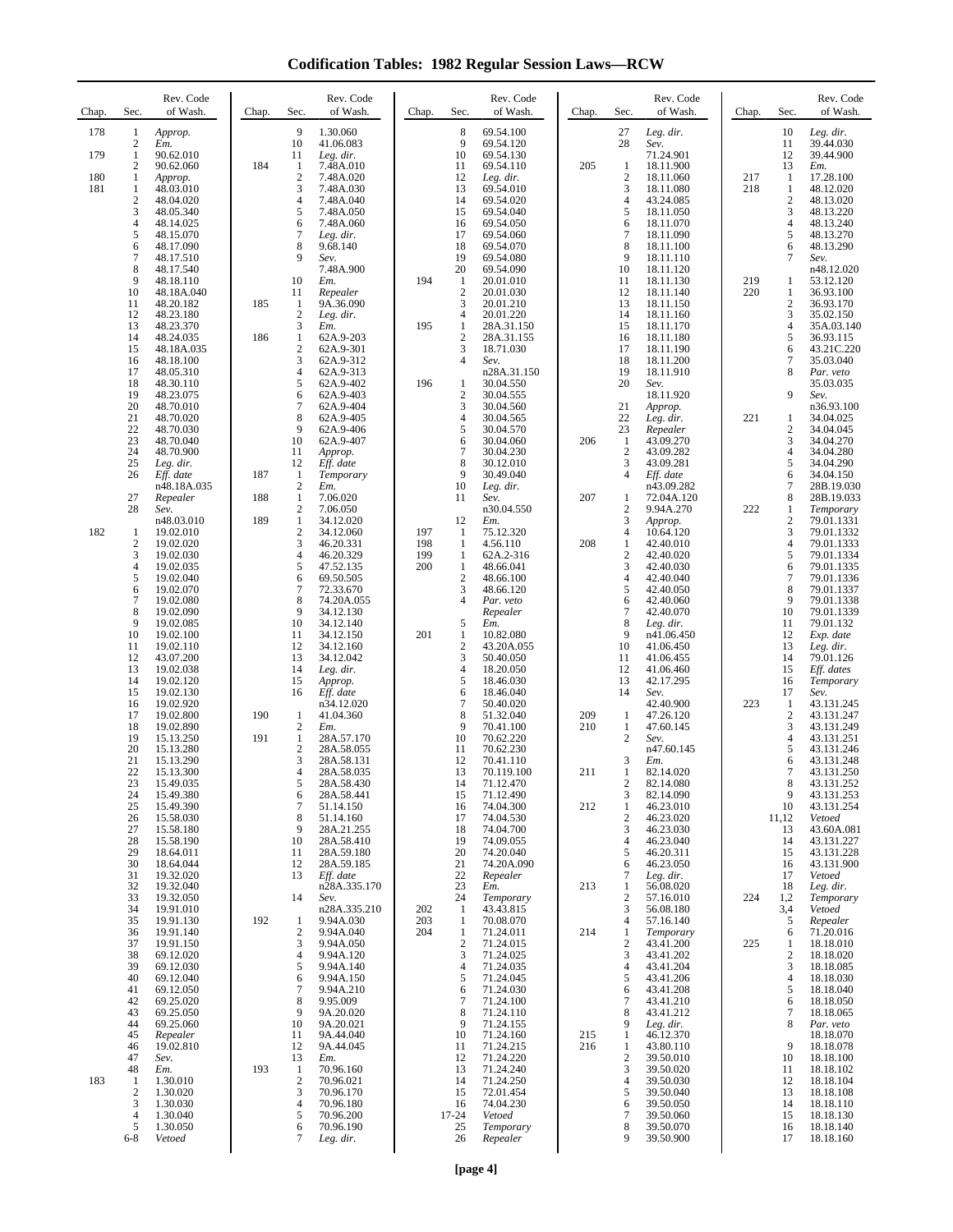**Codification Tables: 1982 Regular Session Laws—RCW**

| Chap.      | Sec.                  | Rev. Code<br>of Wash.               | Chap. | Sec.                           | Rev. Code<br>of Wash.                  | Chap.      | Sec.                                | Rev. Code<br>of Wash.               | Chap.      | Sec.                       | Rev. Code<br>of Wash.               | Chap.      | Sec.                             | Rev. Code<br>of Wash.                 |
|------------|-----------------------|-------------------------------------|-------|--------------------------------|----------------------------------------|------------|-------------------------------------|-------------------------------------|------------|----------------------------|-------------------------------------|------------|----------------------------------|---------------------------------------|
| 178        | 1<br>2                | Approp.<br>Em.                      |       | 9<br>10                        | 1.30.060<br>41.06.083                  |            | 8<br>9                              | 69.54.100<br>69.54.120              |            | 27<br>28                   | Leg. dir.<br>Sev.                   |            | 10<br>11                         | Leg. dir.<br>39.44.030                |
| 179        | 1<br>2                | 90.62.010<br>90.62.060              | 184   | 11<br>1                        | Leg. dir.<br>7.48A.010                 |            | 10<br>11                            | 69.54.130<br>69.54.110              | 205        | 1                          | 71.24.901<br>18.11.900              |            | 12<br>13                         | 39.44.900<br>Em.                      |
| 180<br>181 | 1<br>1                | Approp.<br>48.03.010                |       | $\overline{c}$<br>3            | 7.48A.020<br>7.48A.030                 |            | 12<br>13                            | Leg. dir.<br>69.54.010              |            | $\overline{2}$<br>3        | 18.11.060<br>18.11.080              | 217<br>218 | 1<br>$\mathbf{1}$                | 17.28.100<br>48.12.020                |
|            | $\boldsymbol{2}$<br>3 | 48.04.020<br>48.05.340              |       | 4<br>5                         | 7.48A.040<br>7.48A.050                 |            | 14<br>15                            | 69.54.020<br>69.54.040              |            | 4<br>5                     | 43.24.085<br>18.11.050              |            | $\overline{c}$<br>$\mathfrak{Z}$ | 48.13.020<br>48.13.220                |
|            | 4<br>5                | 48.14.025<br>48.15.070              |       | 6<br>7                         | 7.48A.060<br>Leg. dir.                 |            | 16<br>17                            | 69.54.050<br>69.54.060              |            | 6<br>$\tau$                | 18.11.070<br>18.11.090              |            | 4<br>5                           | 48.13.240<br>48.13.270                |
|            | 6<br>$\tau$           | 48.17.090<br>48.17.510              |       | 8<br>9                         | 9.68.140<br>Sev.                       |            | 18<br>19                            | 69.54.070<br>69.54.080              |            | 8<br>9                     | 18.11.100<br>18.11.110              |            | 6<br>7                           | 48.13.290<br>Sev.                     |
|            | 8<br>9                | 48.17.540<br>48.18.110              |       | 10                             | 7.48A.900<br>Em.                       | 194        | 20<br>-1                            | 69.54.090<br>20.01.010              |            | 10<br>11                   | 18.11.120<br>18.11.130              | 219        | 1                                | n48.12.020<br>53.12.120               |
|            | 10<br>11              | 48.18A.040<br>48.20.182             | 185   | 11<br>1                        | Repealer<br>9A.36.090                  |            | $\overline{2}$<br>3                 | 20.01.030<br>20.01.210              |            | 12<br>13                   | 18.11.140<br>18.11.150              | 220        | $\mathbf{1}$<br>$\overline{c}$   | 36.93.100<br>36.93.170                |
|            | 12<br>13              | 48.23.180<br>48.23.370              |       | $\mathfrak{2}$<br>3            | Leg. dir.<br>Em.                       | 195        | 4<br>$\mathbf{1}$                   | 20.01.220<br>28A.31.150             |            | 14<br>15                   | 18.11.160<br>18.11.170              |            | 3<br>$\overline{4}$              | 35.02.150<br>35A.03.140               |
|            | 14<br>15              | 48.24.035<br>48.18A.035             | 186   | $\mathbf{1}$<br>$\sqrt{2}$     | 62A.9-203<br>62A.9-301                 |            | $\overline{2}$<br>3                 | 28A.31.155<br>18.71.030             |            | 16<br>17                   | 18.11.180<br>18.11.190              |            | 5<br>6                           | 36.93.115<br>43.21C.220               |
|            | 16<br>17              | 48.18.100<br>48.05.310              |       | 3<br>$\overline{4}$            | 62A.9-312<br>62A.9-313                 |            | 4                                   | Sev.<br>n28A.31.150                 |            | 18<br>19                   | 18.11.200<br>18.11.910              |            | 7<br>8                           | 35.03.040<br>Par. veto                |
|            | 18<br>19              | 48.30.110<br>48.23.075              |       | 5<br>6                         | 62A.9-402<br>62A.9-403                 | 196        | $\mathbf{1}$<br>$\overline{2}$      | 30.04.550<br>30.04.555              |            | 20                         | Sev.<br>18.11.920                   |            | 9                                | 35.03.035<br>Sev.                     |
|            | 20<br>21              | 48.70.010<br>48.70.020              |       | 7<br>8                         | 62A.9-404<br>62A.9-405                 |            | 3<br>$\overline{4}$                 | 30.04.560<br>30.04.565              |            | 21<br>22                   | Approp.<br>Leg. dir.                | 221        | 1                                | n36.93.100<br>34.04.025               |
|            | 22<br>23              | 48.70.030<br>48.70.040              |       | 9<br>10                        | 62A.9-406<br>62A.9-407                 |            | 5<br>6                              | 30.04.570<br>30.04.060              | 206        | 23<br>$\mathbf{1}$         | Repealer<br>43.09.270               |            | $\overline{c}$<br>$\mathfrak{Z}$ | 34.04.045<br>34.04.270                |
|            | 24<br>25              | 48.70.900<br>Leg. dir.              |       | 11<br>12                       | Approp.<br>Eff. date                   |            | 7<br>8                              | 30.04.230<br>30.12.010              |            | $\overline{2}$<br>3        | 43.09.282<br>43.09.281              |            | 4<br>5                           | 34.04.280<br>34.04.290                |
|            | 26                    | Eff. date<br>n48.18A.035            | 187   | 1<br>$\mathbf{2}$              | Temporary<br>Em.                       |            | 9<br>10                             | 30.49.040<br>Leg. dir.              |            | $\overline{4}$             | Eff. date<br>n43.09.282             |            | 6<br>$\tau$                      | 34.04.150<br>28B.19.030               |
|            | 27<br>28              | Repealer<br>Sev.                    | 188   | $\mathbf{1}$<br>$\overline{c}$ | 7.06.020<br>7.06.050                   |            | 11                                  | Sev.<br>n30.04.550                  | 207        | 1<br>2                     | 72.04A.120<br>9.94A.270             | 222        | 8<br>1                           | 28B.19.033<br>Temporary               |
| 182        | 1                     | n48.03.010<br>19.02.010             | 189   | $\mathbf{1}$<br>$\sqrt{2}$     | 34.12.020<br>34.12.060                 | 197        | 12<br>-1                            | Em.<br>75.12.320                    |            | 3<br>4                     | Approp.<br>10.64.120                |            | $\overline{2}$<br>3              | 79.01.1331<br>79.01.1332              |
|            | $\boldsymbol{2}$<br>3 | 19.02.020<br>19.02.030              |       | 3<br>$\overline{4}$            | 46.20.331<br>46.20.329                 | 198<br>199 | 1<br>$\mathbf{1}$                   | 4.56.110<br>62A.2-316               | 208        | 1<br>$\boldsymbol{2}$      | 42.40.010<br>42.40.020              |            | $\overline{4}$<br>5              | 79.01.1333<br>79.01.1334              |
|            | 4<br>5                | 19.02.035<br>19.02.040              |       | 5<br>6                         | 47.52.135<br>69.50.505                 | 200        | $\mathbf{1}$<br>$\sqrt{2}$          | 48.66.041<br>48.66.100              |            | 3<br>4                     | 42.40.030<br>42.40.040              |            | 6<br>$\tau$                      | 79.01.1335<br>79.01.1336              |
|            | 6<br>$\tau$           | 19.02.070                           |       | 7<br>8                         | 72.33.670                              |            | 3<br>4                              | 48.66.120                           |            | 5<br>6                     | 42.40.050<br>42.40.060              |            | 8<br>9                           | 79.01.1337                            |
|            | 8<br>9                | 19.02.080<br>19.02.090<br>19.02.085 |       | 9<br>10                        | 74.20A.055<br>34.12.130<br>34.12.140   |            | 5                                   | Par. veto<br>Repealer<br>Em.        |            | 7<br>8                     | 42.40.070<br>Leg. dir.              |            | 10<br>11                         | 79.01.1338<br>79.01.1339<br>79.01.132 |
|            | 10                    | 19.02.100                           |       | 11<br>12                       | 34.12.150                              | 201        | 1<br>$\overline{2}$                 | 10.82.080                           |            | 9<br>10                    | n41.06.450                          |            | 12<br>13                         | Exp. date                             |
|            | 11<br>12<br>13        | 19.02.110<br>43.07.200              |       | 13<br>14                       | 34.12.160<br>34.12.042                 |            | 3<br>$\overline{4}$                 | 43.20A.055<br>50.40.050             |            | 11<br>12                   | 41.06.450<br>41.06.455              |            | 14<br>15                         | Leg. dir.<br>79.01.126                |
|            | 14                    | 19.02.038<br>19.02.120              |       | 15                             | Leg. dir.<br>Approp.                   |            | 5                                   | 18.20.050<br>18.46.030              |            | 13                         | 41.06.460<br>42.17.295              |            | 16                               | Eff. dates<br>Temporary               |
|            | 15<br>16              | 19.02.130<br>19.02.920              | 190   | 16<br>$\mathbf{1}$             | Eff. date<br>n34.12.020                |            | 6<br>$\tau$<br>8                    | 18.46.040<br>50.40.020              |            | 14                         | Sev.<br>42.40.900                   | 223        | 17<br>1<br>$\mathbf{2}$          | Sev.<br>43.131.245                    |
|            | 17<br>18              | 19.02.800<br>19.02.890              | 191   | $\mathbf{2}$                   | 41.04.360<br>Em.                       |            | 9<br>10                             | 51.32.040<br>70.41.100              | 209<br>210 | 1<br>1<br>$\overline{c}$   | 47.26.120<br>47.60.145              |            | 3<br>$\overline{4}$              | 43.131.247<br>43.131.249              |
|            | 19<br>20              | 15.13.250<br>15.13.280              |       | 1<br>$\mathbf{2}$              | 28A.57.170<br>28A.58.055               |            | 11                                  | 70.62.220<br>70.62.230              |            |                            | Sev.<br>n47.60.145                  |            | 5                                | 43.131.251<br>43.131.246              |
|            | 21<br>22              | 15.13.290<br>15.13.300              |       | 3<br>$\overline{4}$            | 28A.58.131<br>28A.58.035               |            | 12<br>13                            | 70.41.110<br>70.119.100             | 211        | 3<br>1                     | Em.<br>82.14.020                    |            | 6<br>7                           | 43.131.248<br>43.131.250              |
|            | 23<br>24              | 15.49.035<br>15.49.380              |       | 5<br>6<br>$\tau$               | 28A.58.430<br>28A.58.441               |            | 14<br>15                            | 71.12.470<br>71.12.490              |            | 2<br>3                     | 82.14.080<br>82.14.090              |            | 8<br>9                           | 43.131.252<br>43.131.253              |
|            | 25<br>26<br>27        | 15.49.390<br>15.58.030              |       | 8<br>9                         | 51.14.150<br>51.14.160                 |            | 16<br>17<br>18                      | 74.04.300<br>74.04.530              | 212        | 1<br>$\overline{c}$<br>3   | 46.23.010<br>46.23.020              |            | 10<br>11,12                      | 43.131.254<br>Vetoed                  |
|            | 28<br>29              | 15.58.180<br>15.58.190<br>18.64.011 |       | 10<br>11                       | 28A.21.255<br>28A.58.410<br>28A.59.180 |            | 19<br>20                            | 74.04.700<br>74.09.055<br>74.20.040 |            | 4<br>5                     | 46.23.030<br>46.23.040<br>46.20.311 |            | 13<br>14<br>15                   | 43.60A.081<br>43.131.227              |
|            | 30<br>31              | 18.64.044<br>19.32.020              |       | 12<br>13                       | 28A.59.185<br>Eff. date                |            | 21<br>22                            | 74.20A.090                          |            | 6<br>$\overline{7}$        | 46.23.050                           |            | 16<br>17                         | 43.131.228<br>43.131.900<br>Vetoed    |
|            | 32                    | 19.32.040                           |       | 14                             | n28A.335.170                           |            | 23<br>24                            | Repealer<br>Em.                     | 213        | 1                          | Leg. dir.<br>56.08.020              | 224        | 18<br>1,2                        | Leg. dir.                             |
|            | 33<br>34              | 19.32.050<br>19.91.010              | 192   |                                | Sev.<br>n28A.335.210                   | 202        | 1                                   | Temporary<br>43.43.815              |            | $\boldsymbol{2}$<br>3      | 57.16.010<br>56.08.180              |            | 3,4                              | Temporary<br>Vetoed                   |
|            | 35<br>36<br>37        | 19.91.130<br>19.91.140              |       | 1<br>$\mathfrak{2}$<br>3       | 9.94A.030<br>9.94A.040                 | 203<br>204 | 1<br>$\mathbf{1}$<br>$\overline{2}$ | 70.08.070<br>71.24.011<br>71.24.015 | 214        | 4<br>1<br>$\boldsymbol{2}$ | 57.16.140<br>Temporary<br>43.41.200 | 225        | 5<br>6                           | Repealer<br>71.20.016<br>18.18.010    |
|            | 38                    | 19.91.150<br>69.12.020              |       | $\overline{4}$<br>5            | 9.94A.050<br>9.94A.120                 |            | 3                                   | 71.24.025                           |            | 3                          | 43.41.202                           |            | 1<br>$\sqrt{2}$<br>3             | 18.18.020                             |
|            | 39<br>40              | 69.12.030<br>69.12.040              |       | 6                              | 9.94A.140<br>9.94A.150                 |            | 4<br>5                              | 71.24.035<br>71.24.045              |            | 4<br>5                     | 43.41.204<br>43.41.206              |            | $\overline{4}$                   | 18.18.085<br>18.18.030                |
|            | 41<br>42              | 69.12.050<br>69.25.020              |       | 7<br>8                         | 9.94A.210<br>9.95.009                  |            | 6<br>$\overline{7}$                 | 71.24.030<br>71.24.100              |            | 6<br>7                     | 43.41.208<br>43.41.210              |            | 5<br>6                           | 18.18.040<br>18.18.050                |
|            | 43<br>44              | 69.25.050<br>69.25.060              |       | 9<br>10                        | 9A.20.020<br>9A.20.021                 |            | 8<br>9                              | 71.24.110<br>71.24.155              |            | 8<br>9                     | 43.41.212<br>Leg. dir.              |            | $\tau$<br>8                      | 18.18.065<br>Par. veto                |
|            | 45<br>46              | Repealer<br>19.02.810               |       | 11<br>12                       | 9A.44.040<br>9A.44.045                 |            | 10<br>11                            | 71.24.160<br>71.24.215              | 215<br>216 | 1<br>1                     | 46.12.370<br>43.80.110              |            | 9                                | 18.18.070<br>18.18.078                |
|            | 47<br>48              | Sev.<br>Em.                         | 193   | 13<br>$\mathbf{1}$             | Em.<br>70.96.160                       |            | 12<br>13                            | 71.24.220<br>71.24.240              |            | $\boldsymbol{2}$<br>3      | 39.50.010<br>39.50.020              |            | 10<br>11                         | 18.18.100<br>18.18.102                |
| 183        | 1<br>$\mathbf{2}$     | 1.30.010<br>1.30.020                |       | $\mathbf{2}$<br>3              | 70.96.021<br>70.96.170                 |            | 14<br>15                            | 71.24.250<br>72.01.454              |            | $\overline{4}$<br>5        | 39.50.030<br>39.50.040              |            | 12<br>13                         | 18.18.104<br>18.18.108                |
|            | 3<br>4                | 1.30.030<br>1.30.040                |       | $\overline{4}$<br>5            | 70.96.180<br>70.96.200                 |            | 16<br>17-24                         | 74.04.230<br>Vetoed                 |            | 6<br>7                     | 39.50.050<br>39.50.060              |            | 14<br>15                         | 18.18.110<br>18.18.130                |
|            | 5<br>$6 - 8$          | 1.30.050<br>Vetoed                  |       | 6<br>7                         | 70.96.190<br>Leg. dir.                 |            | 25<br>26                            | Temporary<br>Repealer               |            | 8<br>9                     | 39.50.070<br>39.50.900              |            | 16<br>17                         | 18.18.140<br>18.18.160                |
|            |                       |                                     |       |                                |                                        |            |                                     |                                     |            |                            |                                     |            |                                  |                                       |